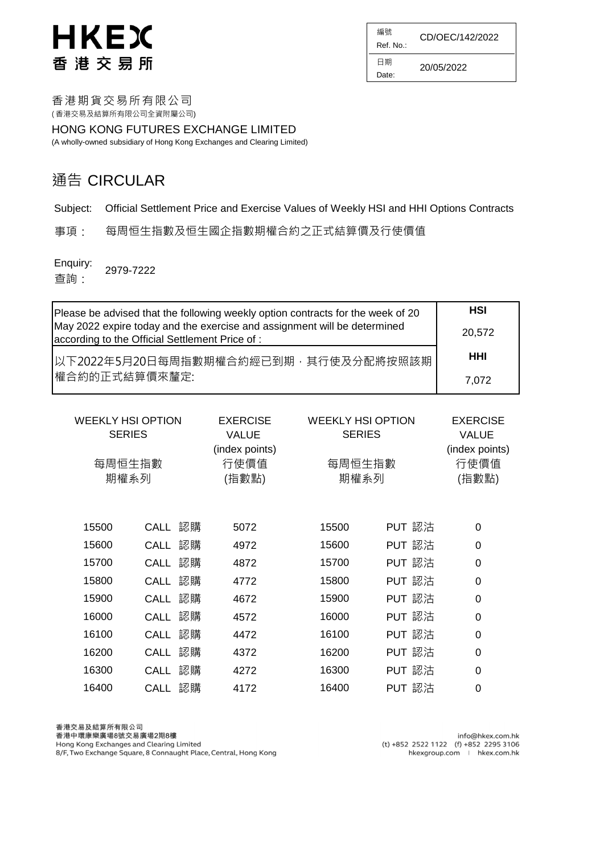| 編號<br>Ref. No.: | CD/OEC/142/2022 |
|-----------------|-----------------|
| 日期<br>Date:     | 20/05/2022      |

香 港期 貨交 易所 有限公 司 ( 香港交易及結算所有限公司全資附屬公司)

HONG KONG FUTURES EXCHANGE LIMITED

(A wholly-owned subsidiary of Hong Kong Exchanges and Clearing Limited)

#### 通告 CIRCULAR

Subject: Official Settlement Price and Exercise Values of Weekly HSI and HHI Options Contracts

事項: 每周恒生指數及恒生國企指數期權合約之正式結算價及行使價值

Enquiry: 查詢: 2979-7222

| Please be advised that the following weekly option contracts for the week of 20                                            | <b>HSI</b> |
|----------------------------------------------------------------------------------------------------------------------------|------------|
| May 2022 expire today and the exercise and assignment will be determined<br>according to the Official Settlement Price of: | 20,572     |
| 以下2022年5月20日每周指數期權合約經已到期,其行使及分配將按照該期                                                                                       | <b>HHI</b> |
| 權合約的正式結算價來釐定:                                                                                                              | 7.072      |

| <b>WEEKLY HSI OPTION</b><br><b>SERIES</b> |                | <b>EXERCISE</b><br>VALUE | <b>WEEKLY HSI OPTION</b><br><b>SERIES</b> | <b>EXERCISE</b><br><b>VALUE</b><br>(index points) |                |             |  |
|-------------------------------------------|----------------|--------------------------|-------------------------------------------|---------------------------------------------------|----------------|-------------|--|
|                                           | 每周恒生指數<br>期權系列 |                          | (index points)<br>行使價值<br>(指數點)           |                                                   | 每周恒生指數<br>期權系列 |             |  |
| 15500                                     | CALL           | 認購                       | 5072                                      | 15500                                             | PUT 認沽         | 0           |  |
| 15600                                     | CALL           | 認購                       | 4972                                      | 15600                                             | PUT 認沽         | 0           |  |
| 15700                                     | CALL           | 認購                       | 4872                                      | 15700                                             | PUT 認沽         | $\mathbf 0$ |  |
| 15800                                     | CALL           | 認購                       | 4772                                      | 15800                                             | PUT 認沽         | 0           |  |
| 15900                                     | CALL 認購        |                          | 4672                                      | 15900                                             | PUT 認沽         | 0           |  |
| 16000                                     | <b>CALL</b>    | 認購                       | 4572                                      | 16000                                             | PUT 認沽         | $\mathbf 0$ |  |
| 16100                                     | CALL           | 認購                       | 4472                                      | 16100                                             | PUT 認沽         | $\mathbf 0$ |  |
| 16200                                     | CALL           | 認購                       | 4372                                      | 16200                                             | PUT 認沽         | $\mathbf 0$ |  |
| 16300                                     | CALL           | 認購                       | 4272                                      | 16300                                             | PUT 認沽         | 0           |  |
| 16400                                     | CALL           | 認購                       | 4172                                      | 16400                                             | PUT 認沽         | 0           |  |

香港交易及結算所有限公司 香港中環康樂廣場8號交易廣場2期8樓 Hong Kong Exchanges and Clearing Limited 8/F, Two Exchange Square, 8 Connaught Place, Central, Hong Kong

info@hkex.com.hk (t) +852 2522 1122 (f) +852 2295 3106 hkexgroup.com | hkex.com.hk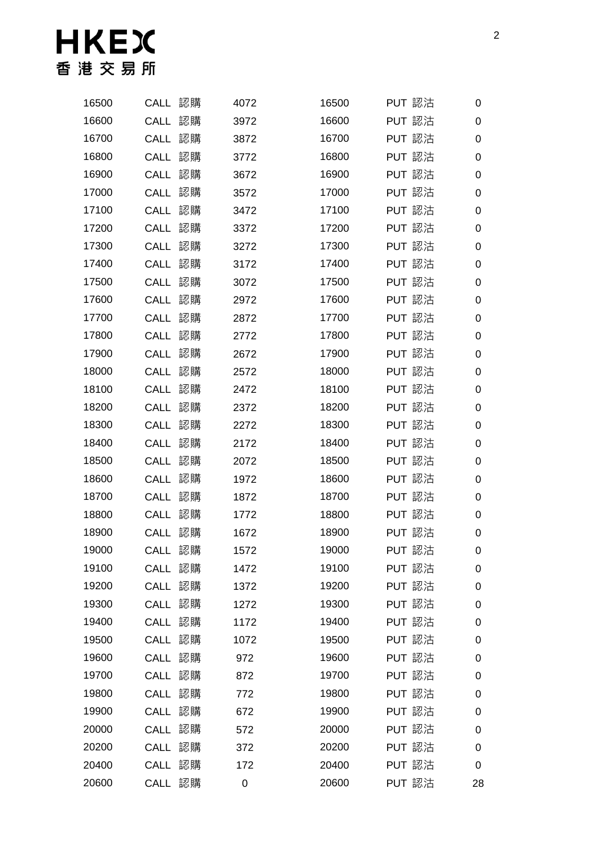| 16500 | CALL 認購           | 4072 | 16500 | PUT 認沽 | 0  |
|-------|-------------------|------|-------|--------|----|
| 16600 | CALL 認購           | 3972 | 16600 | PUT 認沽 | 0  |
| 16700 | CALL 認購           | 3872 | 16700 | PUT 認沽 | 0  |
| 16800 | CALL 認購           | 3772 | 16800 | PUT 認沽 | 0  |
| 16900 | 認購<br>CALL        | 3672 | 16900 | PUT 認沽 | 0  |
| 17000 | 認購<br>CALL        | 3572 | 17000 | PUT 認沽 | 0  |
| 17100 | CALL<br>認購        | 3472 | 17100 | PUT 認沽 | 0  |
| 17200 | 認購<br>CALL        | 3372 | 17200 | PUT 認沽 | 0  |
| 17300 | 認購<br><b>CALL</b> | 3272 | 17300 | PUT 認沽 | 0  |
| 17400 | 認購<br>CALL        | 3172 | 17400 | PUT 認沽 | 0  |
| 17500 | 認購<br>CALL        | 3072 | 17500 | PUT 認沽 | 0  |
| 17600 | CALL<br>認購        | 2972 | 17600 | PUT 認沽 | 0  |
| 17700 | CALL<br>認購        | 2872 | 17700 | PUT 認沽 | 0  |
| 17800 | 認購<br>CALL        | 2772 | 17800 | PUT 認沽 | 0  |
| 17900 | CALL<br>認購        | 2672 | 17900 | PUT 認沽 | 0  |
| 18000 | CALL 認購           | 2572 | 18000 | PUT 認沽 | 0  |
| 18100 | CALL<br>認購        | 2472 | 18100 | PUT 認沽 | 0  |
| 18200 | CALL 認購           | 2372 | 18200 | PUT 認沽 | 0  |
| 18300 | CALL 認購           | 2272 | 18300 | PUT 認沽 | 0  |
| 18400 | 認購<br>CALL        | 2172 | 18400 | PUT 認沽 | 0  |
| 18500 | CALL<br>認購        | 2072 | 18500 | PUT 認沽 | 0  |
| 18600 | CALL<br>認購        | 1972 | 18600 | PUT 認沽 | 0  |
| 18700 | 認購<br><b>CALL</b> | 1872 | 18700 | PUT 認沽 | 0  |
| 18800 | CALL<br>認購        | 1772 | 18800 | PUT 認沽 | 0  |
| 18900 | CALL 認購           | 1672 | 18900 | PUT 認沽 | 0  |
| 19000 | CALL 認購           | 1572 | 19000 | PUT 認沽 | 0  |
| 19100 | CALL 認購           | 1472 | 19100 | PUT 認沽 | 0  |
| 19200 | CALL 認購           | 1372 | 19200 | PUT 認沽 | 0  |
| 19300 | CALL 認購           | 1272 | 19300 | PUT 認沽 | 0  |
| 19400 | CALL 認購           | 1172 | 19400 | PUT 認沽 | 0  |
| 19500 | CALL 認購           | 1072 | 19500 | PUT 認沽 | 0  |
| 19600 | CALL 認購           | 972  | 19600 | PUT 認沽 | 0  |
| 19700 | CALL 認購           | 872  | 19700 | PUT 認沽 | 0  |
| 19800 | CALL 認購           | 772  | 19800 | PUT 認沽 | 0  |
| 19900 | CALL 認購           | 672  | 19900 | PUT 認沽 | 0  |
| 20000 | CALL 認購           | 572  | 20000 | PUT 認沽 | 0  |
| 20200 | CALL 認購           | 372  | 20200 | PUT 認沽 | 0  |
| 20400 | CALL 認購           | 172  | 20400 | PUT 認沽 | 0  |
| 20600 | CALL 認購           | 0    | 20600 | PUT 認沽 | 28 |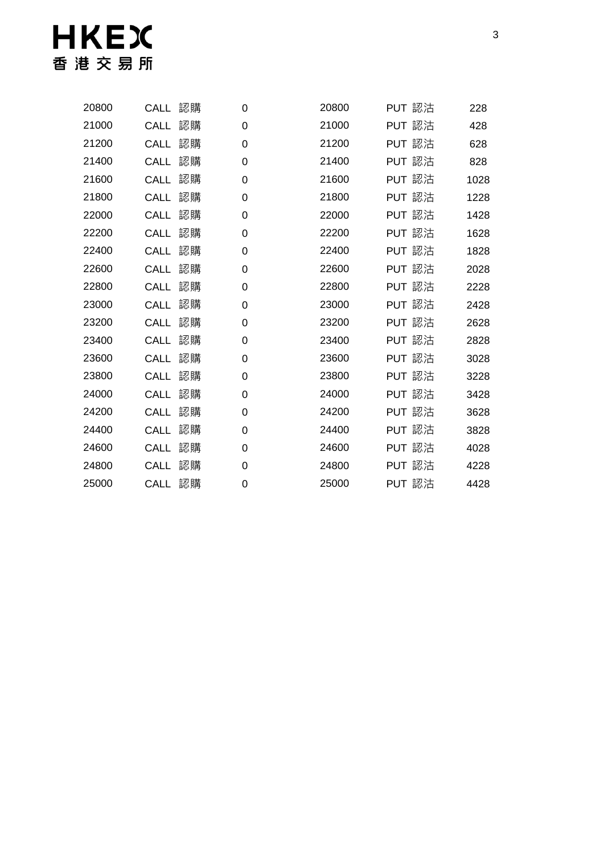| 20800 | CALL 認購     |    | 0 | 20800 | PUT 認沽 | 228  |
|-------|-------------|----|---|-------|--------|------|
| 21000 | CALL 認購     |    | 0 | 21000 | PUT 認沽 | 428  |
| 21200 | CALL        | 認購 | 0 | 21200 | PUT 認沽 | 628  |
| 21400 | CALL        | 認購 | 0 | 21400 | PUT 認沽 | 828  |
| 21600 | CALL        | 認購 | 0 | 21600 | PUT 認沽 | 1028 |
| 21800 | CALL        | 認購 | 0 | 21800 | PUT 認沽 | 1228 |
| 22000 | <b>CALL</b> | 認購 | 0 | 22000 | PUT 認沽 | 1428 |
| 22200 | CALL        | 認購 | 0 | 22200 | PUT 認沽 | 1628 |
| 22400 | CALL        | 認購 | 0 | 22400 | PUT 認沽 | 1828 |
| 22600 | <b>CALL</b> | 認購 | 0 | 22600 | PUT 認沽 | 2028 |
| 22800 | CALL        | 認購 | 0 | 22800 | PUT 認沽 | 2228 |
| 23000 | CALL        | 認購 | 0 | 23000 | PUT 認沽 | 2428 |
| 23200 | CALL        | 認購 | 0 | 23200 | PUT 認沽 | 2628 |
| 23400 | CALL        | 認購 | 0 | 23400 | PUT 認沽 | 2828 |
| 23600 | CALL        | 認購 | 0 | 23600 | PUT 認沽 | 3028 |
| 23800 | CALL        | 認購 | 0 | 23800 | PUT 認沽 | 3228 |
| 24000 | <b>CALL</b> | 認購 | 0 | 24000 | PUT 認沽 | 3428 |
| 24200 | CALL        | 認購 | 0 | 24200 | PUT 認沽 | 3628 |
| 24400 | CALL        | 認購 | 0 | 24400 | PUT 認沽 | 3828 |
| 24600 | <b>CALL</b> | 認購 | 0 | 24600 | PUT 認沽 | 4028 |
| 24800 | CALL        | 認購 | 0 | 24800 | PUT 認沽 | 4228 |
| 25000 | CALL 認購     |    | 0 | 25000 | PUT 認沽 | 4428 |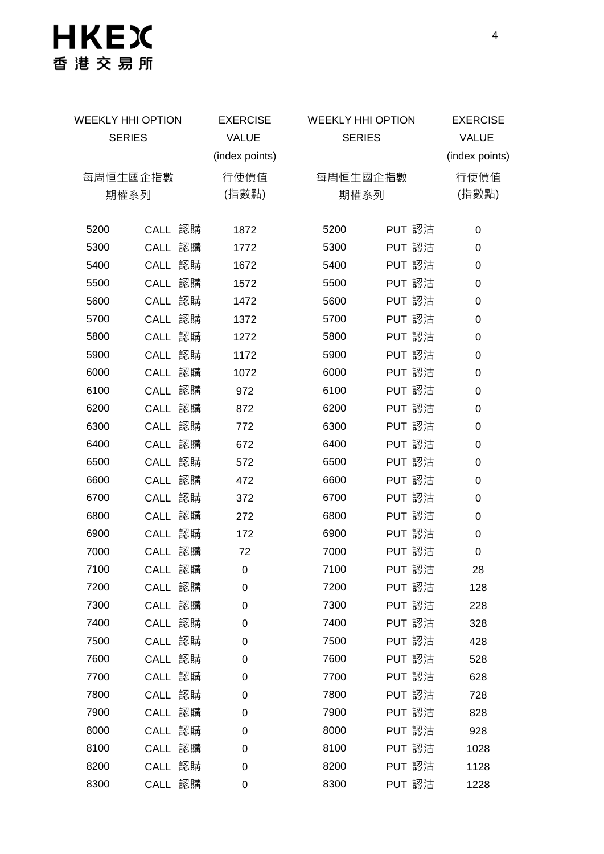| <b>WEEKLY HHI OPTION</b> |               | <b>EXERCISE</b> | <b>WEEKLY HHI OPTION</b> |               | <b>EXERCISE</b> |                |  |
|--------------------------|---------------|-----------------|--------------------------|---------------|-----------------|----------------|--|
|                          | <b>SERIES</b> |                 | <b>VALUE</b>             | <b>SERIES</b> |                 | <b>VALUE</b>   |  |
|                          |               |                 | (index points)           |               |                 | (index points) |  |
|                          | 每周恒生國企指數      |                 | 行使價值                     | 每周恒生國企指數      |                 | 行使價值           |  |
|                          | 期權系列          |                 | (指數點)                    | 期權系列          |                 | (指數點)          |  |
|                          |               |                 |                          |               |                 |                |  |
| 5200                     | CALL 認購       |                 | 1872                     | 5200          | PUT 認沽          | 0              |  |
| 5300                     | CALL 認購       |                 | 1772                     | 5300          | PUT 認沽          | $\mathbf 0$    |  |
| 5400                     | CALL 認購       |                 | 1672                     | 5400          | PUT 認沽          | 0              |  |
| 5500                     | CALL 認購       |                 | 1572                     | 5500          | PUT 認沽          | 0              |  |
| 5600                     | CALL 認購       |                 | 1472                     | 5600          | PUT 認沽          | 0              |  |
| 5700                     | CALL 認購       |                 | 1372                     | 5700          | PUT 認沽          | 0              |  |
| 5800                     | CALL 認購       |                 | 1272                     | 5800          | PUT 認沽          | 0              |  |
| 5900                     | CALL 認購       |                 | 1172                     | 5900          | PUT 認沽          | 0              |  |
| 6000                     | CALL 認購       |                 | 1072                     | 6000          | PUT 認沽          | $\mathbf 0$    |  |
| 6100                     | CALL 認購       |                 | 972                      | 6100          | PUT 認沽          | 0              |  |
| 6200                     | CALL 認購       |                 | 872                      | 6200          | PUT 認沽          | $\mathbf 0$    |  |
| 6300                     | CALL 認購       |                 | 772                      | 6300          | PUT 認沽          | 0              |  |
| 6400                     | CALL 認購       |                 | 672                      | 6400          | PUT 認沽          | $\mathbf 0$    |  |
| 6500                     | CALL 認購       |                 | 572                      | 6500          | PUT 認沽          | 0              |  |
| 6600                     | CALL 認購       |                 | 472                      | 6600          | PUT 認沽          | $\mathbf 0$    |  |
| 6700                     | CALL 認購       |                 | 372                      | 6700          | PUT 認沽          | 0              |  |
| 6800                     | CALL 認購       |                 | 272                      | 6800          | PUT 認沽          | $\mathbf 0$    |  |
| 6900                     | CALL 認購       |                 | 172                      | 6900          | PUT 認沽          | 0              |  |
| 7000                     | CALL 認購       |                 | 72                       | 7000          | PUT 認沽          | 0              |  |
| 7100                     | CALL 認購       |                 | 0                        | 7100          | PUT 認沽          | 28             |  |
| 7200                     | CALL 認購       |                 | 0                        | 7200          | PUT 認沽          | 128            |  |
| 7300                     | CALL 認購       |                 | 0                        | 7300          | PUT 認沽          | 228            |  |
| 7400                     | CALL 認購       |                 | 0                        | 7400          | PUT 認沽          | 328            |  |
| 7500                     | CALL 認購       |                 | 0                        | 7500          | PUT 認沽          | 428            |  |
| 7600                     | CALL 認購       |                 | 0                        | 7600          | PUT 認沽          | 528            |  |
| 7700                     | CALL 認購       |                 | 0                        | 7700          | PUT 認沽          | 628            |  |
| 7800                     | CALL 認購       |                 | 0                        | 7800          | PUT 認沽          | 728            |  |
| 7900                     | CALL 認購       |                 | 0                        | 7900          | PUT 認沽          | 828            |  |
| 8000                     | CALL 認購       |                 | 0                        | 8000          | PUT 認沽          | 928            |  |
| 8100                     | CALL 認購       |                 | 0                        | 8100          | PUT 認沽          | 1028           |  |
| 8200                     | CALL 認購       |                 | 0                        | 8200          | PUT 認沽          | 1128           |  |
| 8300                     | CALL 認購       |                 | 0                        | 8300          | PUT 認沽          | 1228           |  |